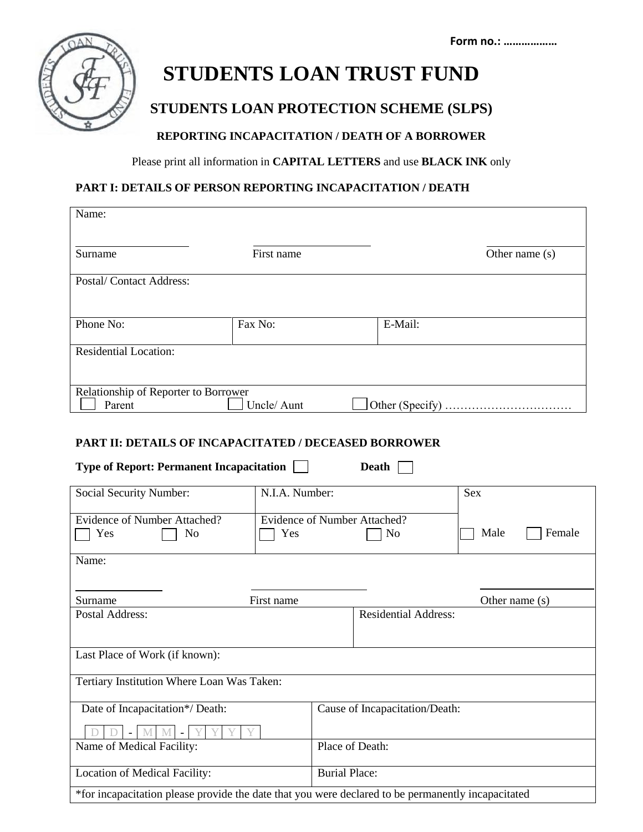

# **STUDENTS LOAN TRUST FUND**

# **STUDENTS LOAN PROTECTION SCHEME (SLPS)**

## **REPORTING INCAPACITATION / DEATH OF A BORROWER**

Please print all information in **CAPITAL LETTERS** and use **BLACK INK** only

### **PART I: DETAILS OF PERSON REPORTING INCAPACITATION / DEATH**

| Name:                                          |             |                 |                  |
|------------------------------------------------|-------------|-----------------|------------------|
| Surname                                        | First name  |                 | Other name $(s)$ |
| Postal/Contact Address:                        |             |                 |                  |
|                                                |             |                 |                  |
| Phone No:                                      | Fax No:     | E-Mail:         |                  |
| <b>Residential Location:</b>                   |             |                 |                  |
|                                                |             |                 |                  |
| Relationship of Reporter to Borrower<br>Parent | Uncle/ Aunt | Other (Specify) |                  |

#### **PART II: DETAILS OF INCAPACITATED / DECEASED BORROWER**

| <b>Type of Report: Permanent Incapacitation</b><br><b>Death</b>                                    |                                            |                                |                  |
|----------------------------------------------------------------------------------------------------|--------------------------------------------|--------------------------------|------------------|
| Social Security Number:                                                                            | N.I.A. Number:                             |                                | <b>Sex</b>       |
| <b>Evidence of Number Attached?</b><br>Yes<br>No                                                   | <b>Evidence of Number Attached?</b><br>Yes | N <sub>0</sub>                 | Male<br>Female   |
| Name:                                                                                              |                                            |                                |                  |
| Surname                                                                                            | First name                                 |                                | Other name $(s)$ |
| Postal Address:                                                                                    |                                            | <b>Residential Address:</b>    |                  |
|                                                                                                    |                                            |                                |                  |
| Last Place of Work (if known):                                                                     |                                            |                                |                  |
| Tertiary Institution Where Loan Was Taken:                                                         |                                            |                                |                  |
| Date of Incapacitation*/ Death:                                                                    |                                            | Cause of Incapacitation/Death: |                  |
|                                                                                                    |                                            |                                |                  |
| Name of Medical Facility:                                                                          | Place of Death:                            |                                |                  |
| Location of Medical Facility:                                                                      | <b>Burial Place:</b>                       |                                |                  |
| *for incapacitation please provide the date that you were declared to be permanently incapacitated |                                            |                                |                  |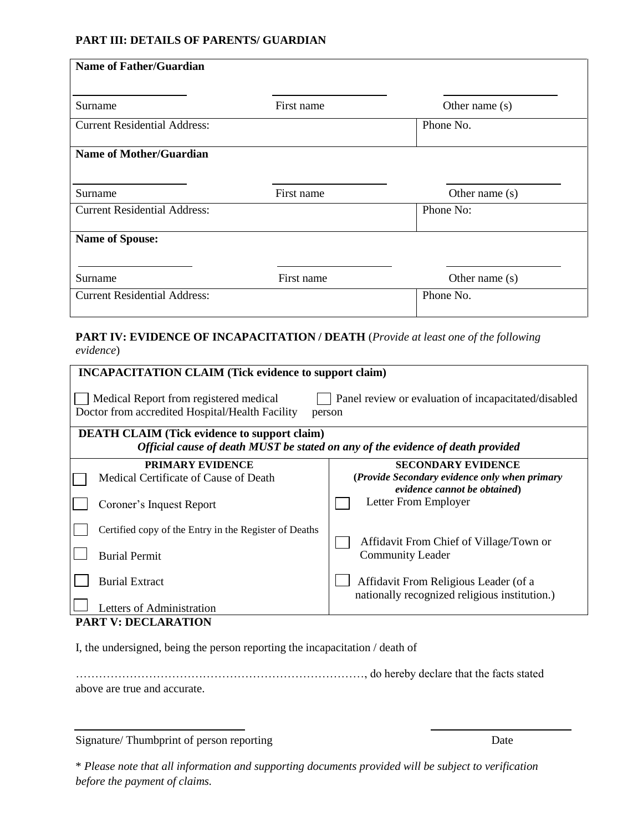#### **PART III: DETAILS OF PARENTS/ GUARDIAN**

| <b>Name of Father/Guardian</b>      |            |                  |  |
|-------------------------------------|------------|------------------|--|
| Surname                             | First name | Other name $(s)$ |  |
| <b>Current Residential Address:</b> |            | Phone No.        |  |
| <b>Name of Mother/Guardian</b>      |            |                  |  |
| Surname                             | First name | Other name $(s)$ |  |
| <b>Current Residential Address:</b> |            | Phone No:        |  |
| <b>Name of Spouse:</b>              |            |                  |  |
| Surname                             | First name | Other name $(s)$ |  |
| <b>Current Residential Address:</b> |            | Phone No.        |  |

**PART IV: EVIDENCE OF INCAPACITATION / DEATH** (*Provide at least one of the following evidence*)

| <b>INCAPACITATION CLAIM (Tick evidence to support claim)</b>                                                                                                |                                               |  |  |  |
|-------------------------------------------------------------------------------------------------------------------------------------------------------------|-----------------------------------------------|--|--|--|
| Medical Report from registered medical<br>Panel review or evaluation of incapacitated/disabled<br>Doctor from accredited Hospital/Health Facility<br>person |                                               |  |  |  |
| <b>DEATH CLAIM (Tick evidence to support claim)</b>                                                                                                         |                                               |  |  |  |
| Official cause of death MUST be stated on any of the evidence of death provided                                                                             |                                               |  |  |  |
| <b>PRIMARY EVIDENCE</b>                                                                                                                                     | <b>SECONDARY EVIDENCE</b>                     |  |  |  |
| Medical Certificate of Cause of Death                                                                                                                       | (Provide Secondary evidence only when primary |  |  |  |
|                                                                                                                                                             | evidence cannot be obtained)                  |  |  |  |
| Coroner's Inquest Report                                                                                                                                    | Letter From Employer                          |  |  |  |
|                                                                                                                                                             |                                               |  |  |  |
| Certified copy of the Entry in the Register of Deaths                                                                                                       |                                               |  |  |  |
|                                                                                                                                                             | Affidavit From Chief of Village/Town or       |  |  |  |
| <b>Burial Permit</b>                                                                                                                                        | <b>Community Leader</b>                       |  |  |  |
|                                                                                                                                                             |                                               |  |  |  |
| <b>Burial Extract</b>                                                                                                                                       | Affidavit From Religious Leader (of a         |  |  |  |
|                                                                                                                                                             | nationally recognized religious institution.) |  |  |  |
| Letters of Administration                                                                                                                                   |                                               |  |  |  |
| <b>PART V: DECLARATION</b>                                                                                                                                  |                                               |  |  |  |

I, the undersigned, being the person reporting the incapacitation / death of

…………………………………………………………………, do hereby declare that the facts stated above are true and accurate.

Signature/ Thumbprint of person reporting Date

\* *Please note that all information and supporting documents provided will be subject to verification before the payment of claims.*